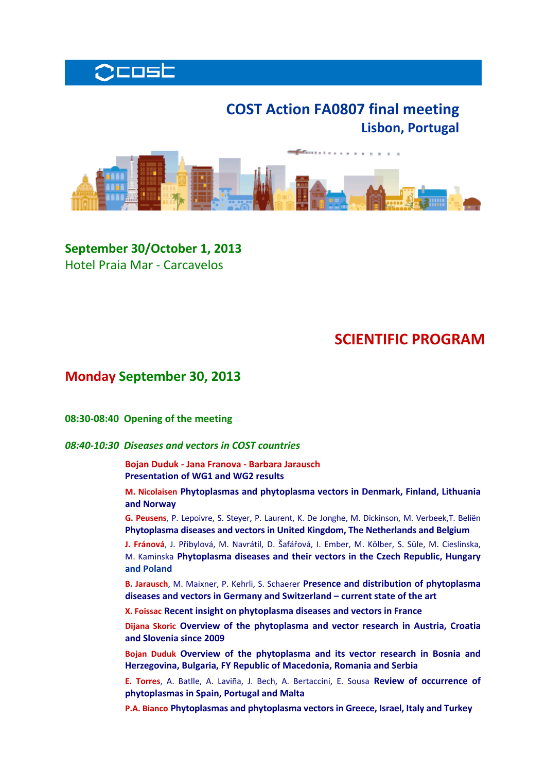

# **COST Action FA0807 final meeting Lisbon, Portugal**



**September 30/October 1, 2013** Hotel Praia Mar ‐ Carcavelos

# **SCIENTIFIC PROGRAM**

## **Monday September 30, 2013**

**08:30‐08:40 Opening of the meeting** 

### *08:40‐10:30 Diseases and vectors in COST countries*

**Bojan Duduk ‐ Jana Franova ‐ Barbara Jarausch Presentation of WG1 and WG2 results**

 **M. Nicolaisen Phytoplasmas and phytoplasma vectors in Denmark, Finland, Lithuania and Norway**

**G. Peusens**, P. Lepoivre, S. Steyer, P. Laurent, K. De Jonghe, M. Dickinson, M. Verbeek,T. Beliën **Phytoplasma diseases and vectors in United Kingdom, The Netherlands and Belgium**

**J. Fránová**, J. Přibylová, M. Navrátil, D. Šafářová, I. Ember, M. Kölber, S. Süle, M. Cieslinska, M. Kaminska **Phytoplasma diseases and their vectors in the Czech Republic, Hungary and Poland**

**B. Jarausch**, M. Maixner, P. Kehrli, S. Schaerer **Presence and distribution of phytoplasma diseases and vectors in Germany and Switzerland – current state of the art**

**X. Foissac Recent insight on phytoplasma diseases and vectors in France**

**Dijana Skoric Overview of the phytoplasma and vector research in Austria, Croatia and Slovenia since 2009**

**Bojan Duduk Overview of the phytoplasma and its vector research in Bosnia and Herzegovina, Bulgaria, FY Republic of Macedonia, Romania and Serbia**

**E. Torres**, A. Batlle, A. Laviña, J. Bech, A. Bertaccini, E. Sousa **Review of occurrence of phytoplasmas in Spain, Portugal and Malta**

**P.A. Bianco Phytoplasmas and phytoplasma vectors in Greece, Israel, Italy and Turkey**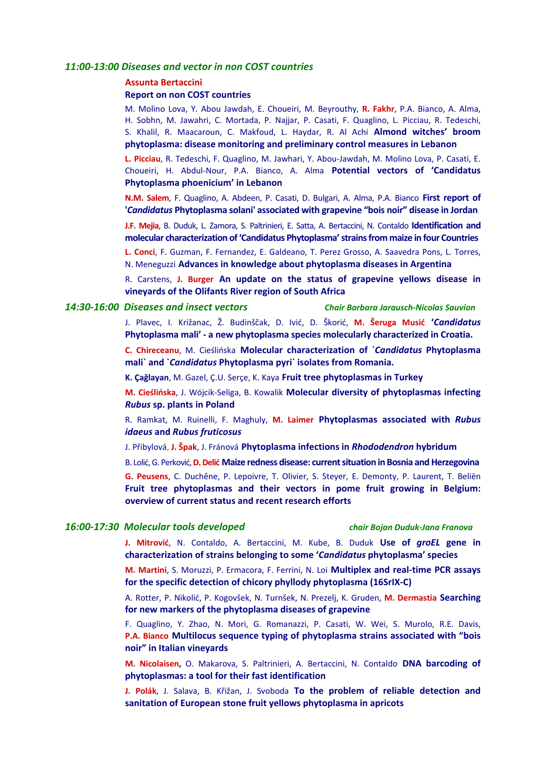#### *11:00‐13:00 Diseases and vector in non COST countries*

#### **Assunta Bertaccini**

#### **Report on non COST countries**

M. Molino Lova, Y. Abou Jawdah, E. Choueiri, M. Beyrouthy, **R. Fakhr**, P.A. Bianco, A. Alma, H. Sobhn, M. Jawahri, C. Mortada, P. Najjar, P. Casati, F. Quaglino, L. Picciau, R. Tedeschi, S. Khalil, R. Maacaroun, C. Makfoud, L. Haydar, R. Al Achi **Almond witches' broom phytoplasma: disease monitoring and preliminary control measures in Lebanon**

**L. Picciau**, R. Tedeschi, F. Quaglino, M. Jawhari, Y. Abou‐Jawdah, M. Molino Lova, P. Casati, E. Choueiri, H. Abdul‐Nour, P.A. Bianco, A. Alma **Potential vectors of 'Candidatus Phytoplasma phoenicium' in Lebanon**

**N.M. Salem**, F. Quaglino, A. Abdeen, P. Casati, D. Bulgari, A. Alma, P.A. Bianco **First report of '***Candidatus* **Phytoplasma solani' associated with grapevine "bois noir" disease in Jordan**

**J.F. Mejia**, B. Duduk, L. Zamora, S. Paltrinieri, E. Satta, A. Bertaccini, N. Contaldo **Identification and molecular characterization of'Candidatus Phytoplasma'strainsfrom maize in four Countries**

**L. Conci**, F. Guzman, F. Fernandez, E. Galdeano, T. Perez Grosso, A. Saavedra Pons, L. Torres, N. Meneguzzi **Advances in knowledge about phytoplasma diseases in Argentina**

R. Carstens, **J. Burger An update on the status of grapevine yellows disease in vineyards of the Olifants River region of South Africa**

#### *14:30‐16:00 Diseases and insect vectors Chair Barbara Jarausch‐Nicolas Sauvion*

J. Plavec, I. Križanac, Ž. Budinščak, D. Ivić, D. Škorić, **M. Šeruga Musić '***Candidatus* **Phytoplasma mali' ‐ a new phytoplasma species molecularly characterized in Croatia.**

**C. Chireceanu**, M. Cieślińska **Molecular characterization of `***Candidatus* **Phytoplasma mali` and `***Candidatus* **Phytoplasma pyri` isolates from Romania.**

**K. Çağlayan**, M. Gazel, Ç.U. Serçe, K. Kaya **Fruit tree phytoplasmas in Turkey**

**M. Cieślińska**, J. Wójcik‐Seliga, B. Kowalik **Molecular diversity of phytoplasmas infecting** *Rubus* **sp. plants in Poland**

R. Ramkat, M. Ruinelli, F. Maghuly, **M. Laimer Phytoplasmas associated with** *Rubus idaeus* **and** *Rubus fruticosus*

J. Přibylová, **J. Špak**, J. Fránová **Phytoplasma infections in** *Rhododendron* **hybridum**

B. Lolić,G. Perković,**D.Delić Maize redness disease: currentsituation in Bosnia andHerzegovina**

**G. Peusens**, C. Duchêne, P. Lepoivre, T. Olivier, S. Steyer, E. Demonty, P. Laurent, T. Beliën **Fruit tree phytoplasmas and their vectors in pome fruit growing in Belgium: overview of current status and recent research efforts**

#### *16:00‐17:30 Molecular tools developed chair Bojan Duduk‐Jana Franova*

**J. Mitrović**, N. Contaldo, A. Bertaccini, M. Kube, B. Duduk **Use of** *groEL* **gene in characterization of strains belonging to some '***Candidatus* **phytoplasma' species**

**M. Martini**, S. Moruzzi, P. Ermacora, F. Ferrini, N. Loi **Multiplex and real‐time PCR assays for the specific detection of chicory phyllody phytoplasma (16SrIX‐C)**

A. Rotter, P. Nikolić, P. Kogovšek, N. Turnšek, N. Prezelj, K. Gruden, **M. Dermastia Searching for new markers of the phytoplasma diseases of grapevine**

F. Quaglino, Y. Zhao, N. Mori, G. Romanazzi, P. Casati, W. Wei, S. Murolo, R.E. Davis, **P.A. Bianco Multilocus sequence typing of phytoplasma strains associated with "bois noir" in Italian vineyards**

**M. Nicolaisen,** O. Makarova, S. Paltrinieri, A. Bertaccini, N. Contaldo **DNA barcoding of phytoplasmas: a tool for their fast identification**

**J. Polák**, J. Salava, B. Křižan, J. Svoboda **To the problem of reliable detection and sanitation of European stone fruit yellows phytoplasma in apricots**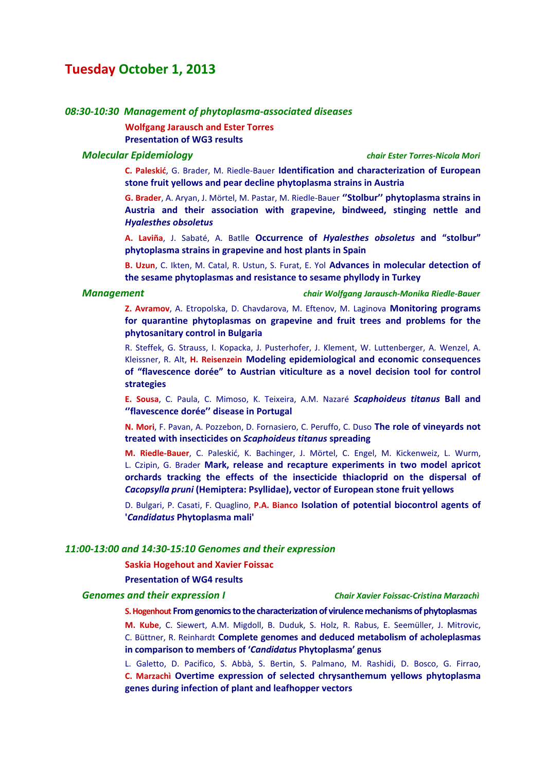## **Tuesday October 1, 2013**

#### *08:30‐10:30 Management of phytoplasma‐associated diseases*

**Wolfgang Jarausch and Ester Torres Presentation of WG3 results**

#### *Molecular Epidemiology chair Ester Torres‐Nicola Mori*

 **C. Paleskić**, G. Brader, M. Riedle‐Bauer **Identification and characterization of European stone fruit yellows and pear decline phytoplasma strains in Austria**

**G. Brader**, A. Aryan, J. Mörtel, M. Pastar, M. Riedle‐Bauer **''Stolbur'' phytoplasma strains in Austria and their association with grapevine, bindweed, stinging nettle and** *Hyalesthes obsoletus*

**A. Laviña**, J. Sabaté, A. Batlle **Occurrence of** *Hyalesthes obsoletus* **and "stolbur" phytoplasma strains in grapevine and host plants in Spain**

**B. Uzun**, C. Ikten, M. Catal, R. Ustun, S. Furat, E. Yol **Advances in molecular detection of the sesame phytoplasmas and resistance to sesame phyllody in Turkey**

*Management chair Wolfgang Jarausch‐Monika Riedle‐Bauer*

**Z. Avramov**, A. Etropolska, D. Chavdarova, M. Eftenov, M. Laginova **Monitoring programs for quarantine phytoplasmas on grapevine and fruit trees and problems for the phytosanitary control in Bulgaria**

R. Steffek, G. Strauss, I. Kopacka, J. Pusterhofer, J. Klement, W. Luttenberger, A. Wenzel, A. Kleissner, R. Alt, **H. Reisenzein Modeling epidemiological and economic consequences of "flavescence dorée" to Austrian viticulture as a novel decision tool for control strategies**

**E. Sousa**, C. Paula, C. Mimoso, K. Teixeira, A.M. Nazaré *Scaphoideus titanus* **Ball and ''flavescence dorée'' disease in Portugal**

**N. Mori**, F. Pavan, A. Pozzebon, D. Fornasiero, C. Peruffo, C. Duso **The role of vineyards not treated with insecticides on** *Scaphoideus titanus* **spreading**

**M. Riedle‐Bauer**, C. Paleskić, K. Bachinger, J. Mörtel, C. Engel, M. Kickenweiz, L. Wurm, L. Czipin, G. Brader **Mark, release and recapture experiments in two model apricot orchards tracking the effects of the insecticide thiacloprid on the dispersal of** *Cacopsylla pruni* **(Hemiptera: Psyllidae), vector of European stone fruit yellows**

D. Bulgari, P. Casati, F. Quaglino, **P.A. Bianco Isolation of potential biocontrol agents of '***Candidatus* **Phytoplasma mali'**

#### *11:00‐13:00 and 14:30‐15:10 Genomes and their expression*

#### **Saskia Hogehout and Xavier Foissac**

### **Presentation of WG4 results**

#### *Genomes and their expression I Chair Xavier Foissac‐Cristina Marzachì*

**S.Hogenhout From genomicstothe characterization of virulencemechanisms of phytoplasmas**

**M. Kube**, C. Siewert, A.M. Migdoll, B. Duduk, S. Holz, R. Rabus, E. Seemüller, J. Mitrovic, C. Büttner, R. Reinhardt **Complete genomes and deduced metabolism of acholeplasmas in comparison to members of '***Candidatus* **Phytoplasma' genus**

L. Galetto, D. Pacifico, S. Abbà, S. Bertin, S. Palmano, M. Rashidi, D. Bosco, G. Firrao, **C. Marzachì Overtime expression of selected chrysanthemum yellows phytoplasma genes during infection of plant and leafhopper vectors**